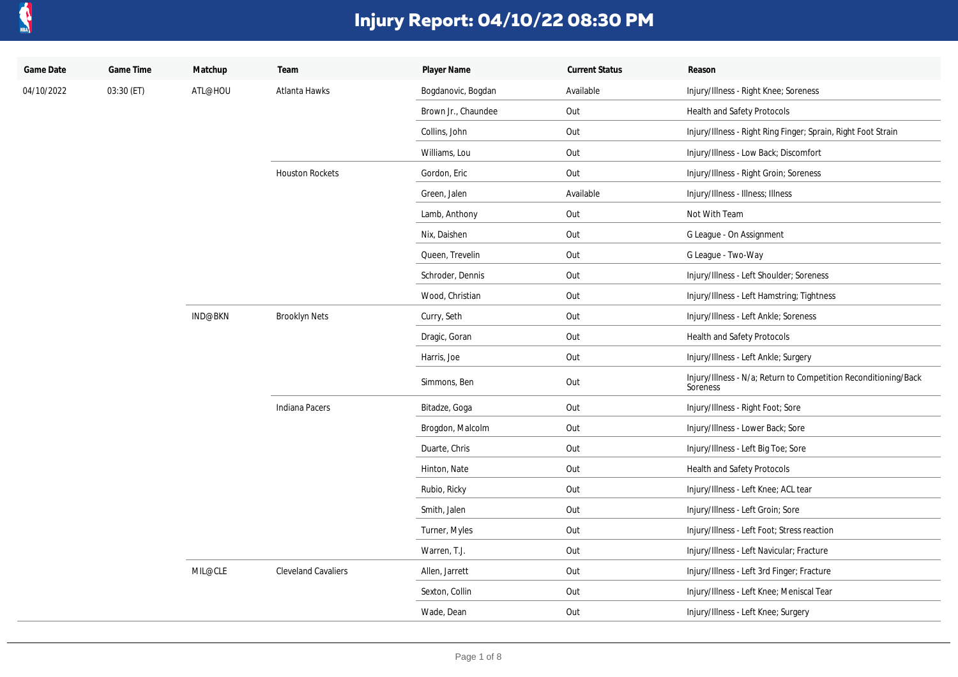

| Game Date  | Game Time  | Matchup        | Team                       | Player Name         | <b>Current Status</b> | Reason                                                                      |
|------------|------------|----------------|----------------------------|---------------------|-----------------------|-----------------------------------------------------------------------------|
| 04/10/2022 | 03:30 (ET) | ATL@HOU        | Atlanta Hawks              | Bogdanovic, Bogdan  | Available             | Injury/Illness - Right Knee; Soreness                                       |
|            |            |                |                            | Brown Jr., Chaundee | Out                   | Health and Safety Protocols                                                 |
|            |            |                |                            | Collins, John       | Out                   | Injury/Illness - Right Ring Finger; Sprain, Right Foot Strain               |
|            |            |                |                            | Williams, Lou       | Out                   | Injury/Illness - Low Back; Discomfort                                       |
|            |            |                | <b>Houston Rockets</b>     | Gordon, Eric        | Out                   | Injury/Illness - Right Groin; Soreness                                      |
|            |            |                |                            | Green, Jalen        | Available             | Injury/Illness - Illness; Illness                                           |
|            |            |                |                            | Lamb, Anthony       | Out                   | Not With Team                                                               |
|            |            |                |                            | Nix, Daishen        | Out                   | G League - On Assignment                                                    |
|            |            |                |                            | Queen, Trevelin     | Out                   | G League - Two-Way                                                          |
|            |            |                |                            | Schroder, Dennis    | Out                   | Injury/Illness - Left Shoulder; Soreness                                    |
|            |            |                |                            | Wood, Christian     | Out                   | Injury/Illness - Left Hamstring; Tightness                                  |
|            |            | <b>IND@BKN</b> | <b>Brooklyn Nets</b>       | Curry, Seth         | Out                   | Injury/Illness - Left Ankle; Soreness                                       |
|            |            |                |                            | Dragic, Goran       | Out                   | Health and Safety Protocols                                                 |
|            |            |                |                            | Harris, Joe         | Out                   | Injury/Illness - Left Ankle; Surgery                                        |
|            |            |                |                            | Simmons, Ben        | Out                   | Injury/Illness - N/a; Return to Competition Reconditioning/Back<br>Soreness |
|            |            |                | Indiana Pacers             | Bitadze, Goga       | Out                   | Injury/Illness - Right Foot; Sore                                           |
|            |            |                |                            | Brogdon, Malcolm    | Out                   | Injury/Illness - Lower Back; Sore                                           |
|            |            |                |                            | Duarte, Chris       | Out                   | Injury/Illness - Left Big Toe; Sore                                         |
|            |            |                |                            | Hinton, Nate        | Out                   | Health and Safety Protocols                                                 |
|            |            |                |                            | Rubio, Ricky        | Out                   | Injury/Illness - Left Knee; ACL tear                                        |
|            |            |                |                            | Smith, Jalen        | Out                   | Injury/Illness - Left Groin; Sore                                           |
|            |            |                |                            | Turner, Myles       | Out                   | Injury/Illness - Left Foot; Stress reaction                                 |
|            |            |                |                            | Warren, T.J.        | Out                   | Injury/Illness - Left Navicular; Fracture                                   |
|            |            | MIL@CLE        | <b>Cleveland Cavaliers</b> | Allen, Jarrett      | Out                   | Injury/Illness - Left 3rd Finger; Fracture                                  |
|            |            |                |                            | Sexton, Collin      | Out                   | Injury/Illness - Left Knee; Meniscal Tear                                   |
|            |            |                |                            | Wade, Dean          | Out                   | Injury/Illness - Left Knee; Surgery                                         |
|            |            |                |                            |                     |                       |                                                                             |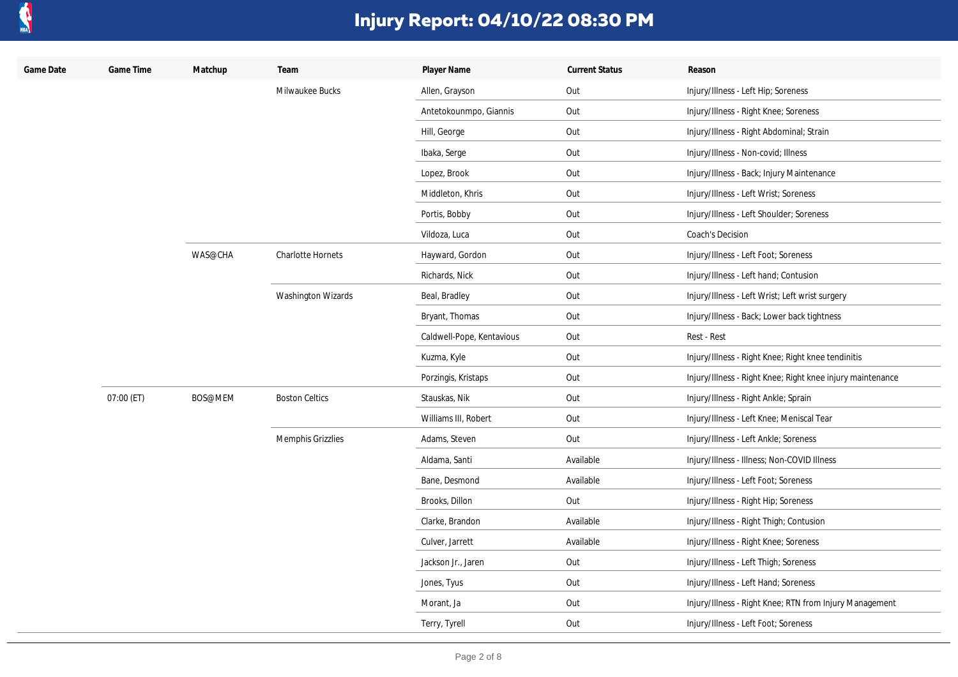

| Game Date | Game Time  | Matchup | Team                      | Player Name               | <b>Current Status</b> | Reason                                                     |
|-----------|------------|---------|---------------------------|---------------------------|-----------------------|------------------------------------------------------------|
|           |            |         | Milwaukee Bucks           | Allen, Grayson            | Out                   | Injury/Illness - Left Hip; Soreness                        |
|           |            |         |                           | Antetokounmpo, Giannis    | Out                   | Injury/Illness - Right Knee; Soreness                      |
|           |            |         |                           | Hill, George              | Out                   | Injury/Illness - Right Abdominal; Strain                   |
|           |            |         |                           | Ibaka, Serge              | Out                   | Injury/Illness - Non-covid; Illness                        |
|           |            |         |                           | Lopez, Brook              | Out                   | Injury/Illness - Back; Injury Maintenance                  |
|           |            |         |                           | Middleton, Khris          | Out                   | Injury/Illness - Left Wrist; Soreness                      |
|           |            |         |                           | Portis, Bobby             | Out                   | Injury/Illness - Left Shoulder; Soreness                   |
|           |            |         |                           | Vildoza, Luca             | Out                   | Coach's Decision                                           |
|           |            | WAS@CHA | <b>Charlotte Hornets</b>  | Hayward, Gordon           | Out                   | Injury/Illness - Left Foot; Soreness                       |
|           |            |         |                           | Richards, Nick            | Out                   | Injury/Illness - Left hand; Contusion                      |
|           |            |         | <b>Washington Wizards</b> | Beal, Bradley             | Out                   | Injury/Illness - Left Wrist; Left wrist surgery            |
|           |            |         |                           | Bryant, Thomas            | Out                   | Injury/Illness - Back; Lower back tightness                |
|           |            |         |                           | Caldwell-Pope, Kentavious | Out                   | Rest - Rest                                                |
|           |            |         |                           | Kuzma, Kyle               | Out                   | Injury/Illness - Right Knee; Right knee tendinitis         |
|           |            |         |                           | Porzingis, Kristaps       | Out                   | Injury/Illness - Right Knee; Right knee injury maintenance |
|           | 07:00 (ET) | BOS@MEM | <b>Boston Celtics</b>     | Stauskas, Nik             | Out                   | Injury/Illness - Right Ankle; Sprain                       |
|           |            |         |                           | Williams III, Robert      | Out                   | Injury/Illness - Left Knee; Meniscal Tear                  |
|           |            |         | Memphis Grizzlies         | Adams, Steven             | Out                   | Injury/Illness - Left Ankle; Soreness                      |
|           |            |         |                           | Aldama, Santi             | Available             | Injury/Illness - Illness; Non-COVID Illness                |
|           |            |         |                           | Bane, Desmond             | Available             | Injury/Illness - Left Foot; Soreness                       |
|           |            |         |                           | Brooks, Dillon            | Out                   | Injury/Illness - Right Hip; Soreness                       |
|           |            |         |                           | Clarke, Brandon           | Available             | Injury/Illness - Right Thigh; Contusion                    |
|           |            |         |                           | Culver, Jarrett           | Available             | Injury/Illness - Right Knee; Soreness                      |
|           |            |         |                           | Jackson Jr., Jaren        | Out                   | Injury/Illness - Left Thigh; Soreness                      |
|           |            |         |                           | Jones, Tyus               | Out                   | Injury/Illness - Left Hand; Soreness                       |
|           |            |         |                           | Morant, Ja                | Out                   | Injury/Illness - Right Knee; RTN from Injury Management    |
|           |            |         |                           | Terry, Tyrell             | Out                   | Injury/Illness - Left Foot; Soreness                       |
|           |            |         |                           |                           |                       |                                                            |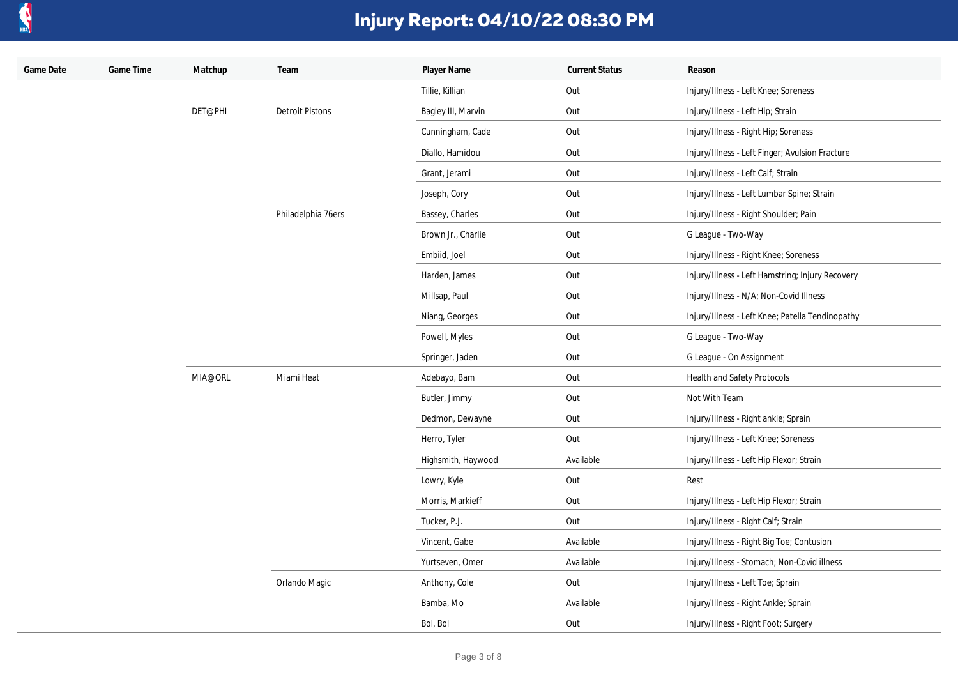

| Game Date | Game Time | Matchup | Team                   | Player Name        | <b>Current Status</b> | Reason                                           |
|-----------|-----------|---------|------------------------|--------------------|-----------------------|--------------------------------------------------|
|           |           |         |                        | Tillie, Killian    | Out                   | Injury/Illness - Left Knee; Soreness             |
|           |           | DET@PHI | <b>Detroit Pistons</b> | Bagley III, Marvin | Out                   | Injury/Illness - Left Hip; Strain                |
|           |           |         |                        | Cunningham, Cade   | Out                   | Injury/Illness - Right Hip; Soreness             |
|           |           |         |                        | Diallo, Hamidou    | Out                   | Injury/Illness - Left Finger; Avulsion Fracture  |
|           |           |         |                        | Grant, Jerami      | Out                   | Injury/Illness - Left Calf; Strain               |
|           |           |         |                        | Joseph, Cory       | Out                   | Injury/Illness - Left Lumbar Spine; Strain       |
|           |           |         | Philadelphia 76ers     | Bassey, Charles    | Out                   | Injury/Illness - Right Shoulder; Pain            |
|           |           |         |                        | Brown Jr., Charlie | Out                   | G League - Two-Way                               |
|           |           |         |                        | Embiid, Joel       | Out                   | Injury/Illness - Right Knee; Soreness            |
|           |           |         |                        | Harden, James      | Out                   | Injury/Illness - Left Hamstring; Injury Recovery |
|           |           |         |                        | Millsap, Paul      | Out                   | Injury/Illness - N/A; Non-Covid Illness          |
|           |           |         |                        | Niang, Georges     | Out                   | Injury/Illness - Left Knee; Patella Tendinopathy |
|           |           |         |                        | Powell, Myles      | Out                   | G League - Two-Way                               |
|           |           |         |                        | Springer, Jaden    | Out                   | G League - On Assignment                         |
|           |           | MIA@ORL | Miami Heat             | Adebayo, Bam       | Out                   | Health and Safety Protocols                      |
|           |           |         |                        | Butler, Jimmy      | Out                   | Not With Team                                    |
|           |           |         |                        | Dedmon, Dewayne    | Out                   | Injury/Illness - Right ankle; Sprain             |
|           |           |         |                        | Herro, Tyler       | Out                   | Injury/Illness - Left Knee; Soreness             |
|           |           |         |                        | Highsmith, Haywood | Available             | Injury/Illness - Left Hip Flexor; Strain         |
|           |           |         |                        | Lowry, Kyle        | Out                   | Rest                                             |
|           |           |         |                        | Morris, Markieff   | Out                   | Injury/Illness - Left Hip Flexor; Strain         |
|           |           |         |                        | Tucker, P.J.       | Out                   | Injury/Illness - Right Calf; Strain              |
|           |           |         |                        | Vincent, Gabe      | Available             | Injury/Illness - Right Big Toe; Contusion        |
|           |           |         |                        | Yurtseven, Omer    | Available             | Injury/Illness - Stomach; Non-Covid illness      |
|           |           |         | Orlando Magic          | Anthony, Cole      | Out                   | Injury/Illness - Left Toe; Sprain                |
|           |           |         |                        | Bamba, Mo          | Available             | Injury/Illness - Right Ankle; Sprain             |
|           |           |         |                        | Bol, Bol           | Out                   | Injury/Illness - Right Foot; Surgery             |
|           |           |         |                        |                    |                       |                                                  |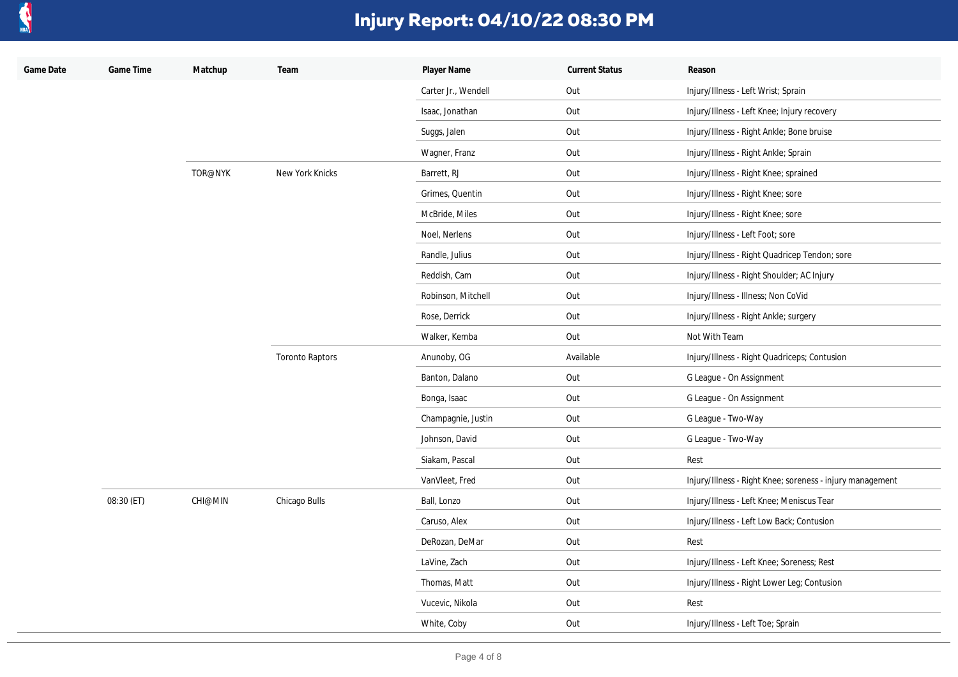

| Game Date | Game Time  | Matchup | Team                   | Player Name         | <b>Current Status</b> | Reason                                                    |
|-----------|------------|---------|------------------------|---------------------|-----------------------|-----------------------------------------------------------|
|           |            |         |                        | Carter Jr., Wendell | Out                   | Injury/Illness - Left Wrist; Sprain                       |
|           |            |         |                        | Isaac, Jonathan     | Out                   | Injury/Illness - Left Knee; Injury recovery               |
|           |            |         |                        | Suggs, Jalen        | Out                   | Injury/Illness - Right Ankle; Bone bruise                 |
|           |            |         |                        | Wagner, Franz       | Out                   | Injury/Illness - Right Ankle; Sprain                      |
|           |            | TOR@NYK | New York Knicks        | Barrett, RJ         | Out                   | Injury/Illness - Right Knee; sprained                     |
|           |            |         |                        | Grimes, Quentin     | Out                   | Injury/Illness - Right Knee; sore                         |
|           |            |         |                        | McBride, Miles      | Out                   | Injury/Illness - Right Knee; sore                         |
|           |            |         |                        | Noel, Nerlens       | Out                   | Injury/Illness - Left Foot; sore                          |
|           |            |         |                        | Randle, Julius      | Out                   | Injury/Illness - Right Quadricep Tendon; sore             |
|           |            |         |                        | Reddish, Cam        | Out                   | Injury/Illness - Right Shoulder; AC Injury                |
|           |            |         |                        | Robinson, Mitchell  | Out                   | Injury/Illness - Illness; Non CoVid                       |
|           |            |         |                        | Rose, Derrick       | Out                   | Injury/Illness - Right Ankle; surgery                     |
|           |            |         |                        | Walker, Kemba       | Out                   | Not With Team                                             |
|           |            |         | <b>Toronto Raptors</b> | Anunoby, OG         | Available             | Injury/Illness - Right Quadriceps; Contusion              |
|           |            |         |                        | Banton, Dalano      | Out                   | G League - On Assignment                                  |
|           |            |         |                        | Bonga, Isaac        | Out                   | G League - On Assignment                                  |
|           |            |         |                        | Champagnie, Justin  | Out                   | G League - Two-Way                                        |
|           |            |         |                        | Johnson, David      | Out                   | G League - Two-Way                                        |
|           |            |         |                        | Siakam, Pascal      | Out                   | Rest                                                      |
|           |            |         |                        | VanVleet, Fred      | Out                   | Injury/Illness - Right Knee; soreness - injury management |
|           | 08:30 (ET) | CHI@MIN | Chicago Bulls          | Ball, Lonzo         | Out                   | Injury/Illness - Left Knee; Meniscus Tear                 |
|           |            |         |                        | Caruso, Alex        | Out                   | Injury/Illness - Left Low Back; Contusion                 |
|           |            |         |                        | DeRozan, DeMar      | Out                   | Rest                                                      |
|           |            |         |                        | LaVine, Zach        | Out                   | Injury/Illness - Left Knee; Soreness; Rest                |
|           |            |         |                        | Thomas, Matt        | Out                   | Injury/Illness - Right Lower Leg; Contusion               |
|           |            |         |                        | Vucevic, Nikola     | Out                   | Rest                                                      |
|           |            |         |                        | White, Coby         | Out                   | Injury/Illness - Left Toe; Sprain                         |
|           |            |         |                        |                     |                       |                                                           |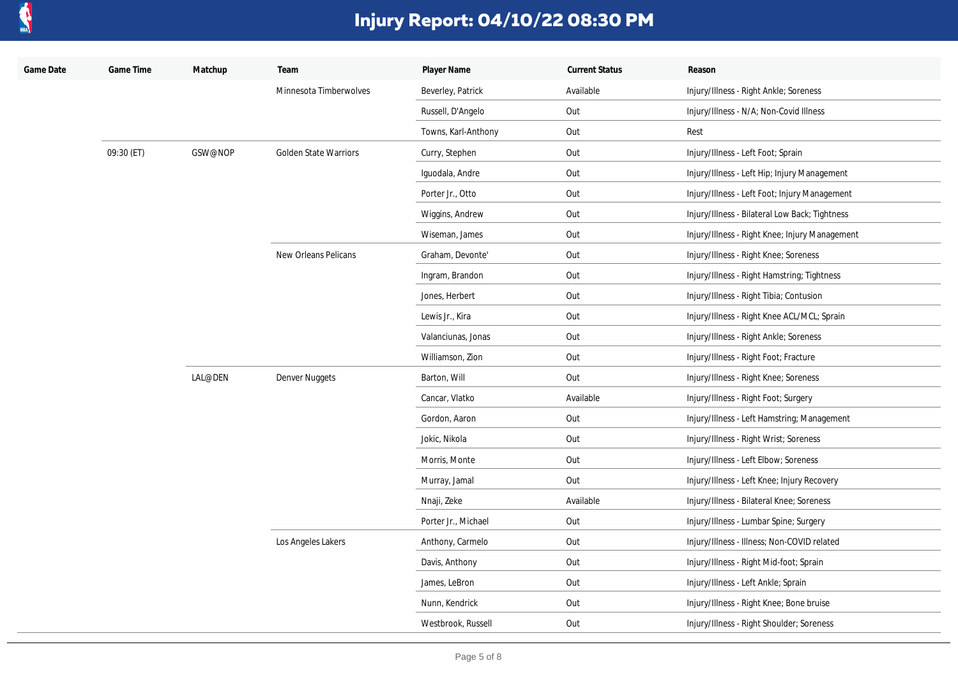

| Game Date | Game Time  | Matchup | Team                   | Player Name         | <b>Current Status</b> | Reason                                         |
|-----------|------------|---------|------------------------|---------------------|-----------------------|------------------------------------------------|
|           |            |         | Minnesota Timberwolves | Beverley, Patrick   | Available             | Injury/Illness - Right Ankle; Soreness         |
|           |            |         |                        | Russell, D'Angelo   | Out                   | Injury/Illness - N/A; Non-Covid Illness        |
|           |            |         |                        | Towns, Karl-Anthony | Out                   | Rest                                           |
|           | 09:30 (ET) | GSW@NOP | Golden State Warriors  | Curry, Stephen      | Out                   | Injury/Illness - Left Foot; Sprain             |
|           |            |         |                        | Iguodala, Andre     | Out                   | Injury/Illness - Left Hip; Injury Management   |
|           |            |         |                        | Porter Jr., Otto    | Out                   | Injury/Illness - Left Foot; Injury Management  |
|           |            |         |                        | Wiggins, Andrew     | Out                   | Injury/Illness - Bilateral Low Back; Tightness |
|           |            |         |                        | Wiseman, James      | Out                   | Injury/Illness - Right Knee; Injury Management |
|           |            |         | New Orleans Pelicans   | Graham, Devonte'    | Out                   | Injury/Illness - Right Knee; Soreness          |
|           |            |         |                        | Ingram, Brandon     | Out                   | Injury/Illness - Right Hamstring; Tightness    |
|           |            |         |                        | Jones, Herbert      | Out                   | Injury/Illness - Right Tibia; Contusion        |
|           |            |         |                        | Lewis Jr., Kira     | Out                   | Injury/Illness - Right Knee ACL/MCL; Sprain    |
|           |            |         |                        | Valanciunas, Jonas  | Out                   | Injury/Illness - Right Ankle; Soreness         |
|           |            |         |                        | Williamson, Zion    | Out                   | Injury/Illness - Right Foot; Fracture          |
|           |            | LAL@DEN | Denver Nuggets         | Barton, Will        | Out                   | Injury/Illness - Right Knee; Soreness          |
|           |            |         |                        | Cancar, Vlatko      | Available             | Injury/Illness - Right Foot; Surgery           |
|           |            |         |                        | Gordon, Aaron       | Out                   | Injury/Illness - Left Hamstring; Management    |
|           |            |         |                        | Jokic, Nikola       | Out                   | Injury/Illness - Right Wrist; Soreness         |
|           |            |         |                        | Morris, Monte       | Out                   | Injury/Illness - Left Elbow; Soreness          |
|           |            |         |                        | Murray, Jamal       | Out                   | Injury/Illness - Left Knee; Injury Recovery    |
|           |            |         |                        | Nnaji, Zeke         | Available             | Injury/Illness - Bilateral Knee; Soreness      |
|           |            |         |                        | Porter Jr., Michael | Out                   | Injury/Illness - Lumbar Spine; Surgery         |
|           |            |         | Los Angeles Lakers     | Anthony, Carmelo    | Out                   | Injury/Illness - Illness; Non-COVID related    |
|           |            |         |                        | Davis, Anthony      | Out                   | Injury/Illness - Right Mid-foot; Sprain        |
|           |            |         |                        | James, LeBron       | Out                   | Injury/Illness - Left Ankle; Sprain            |
|           |            |         |                        | Nunn, Kendrick      | Out                   | Injury/Illness - Right Knee; Bone bruise       |
|           |            |         |                        | Westbrook, Russell  | Out                   | Injury/Illness - Right Shoulder; Soreness      |
|           |            |         |                        |                     |                       |                                                |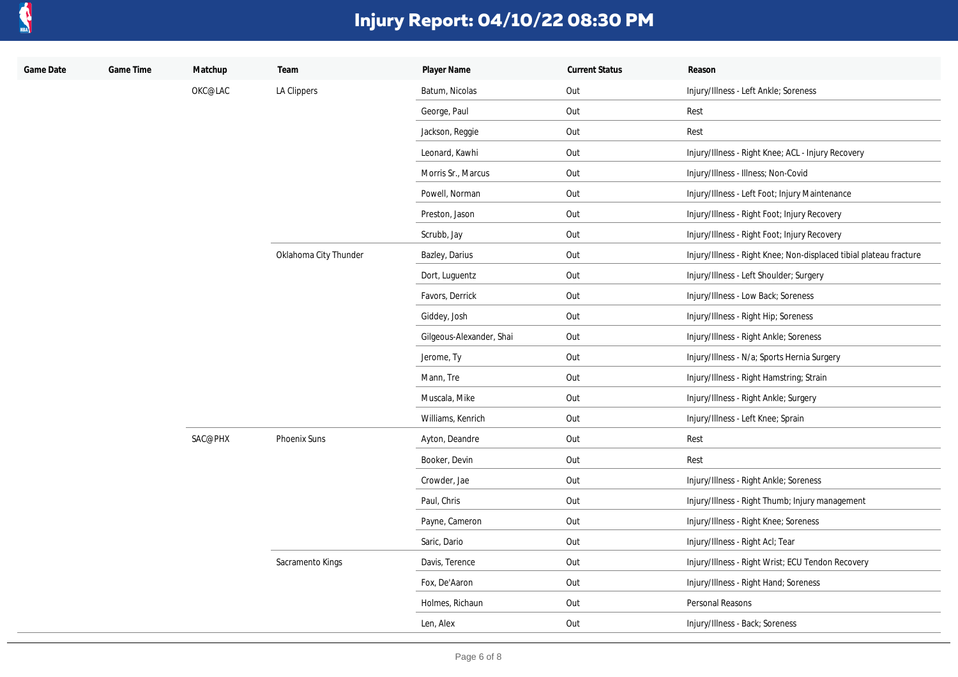

| Game Date | Game Time | Matchup | Team                  | Player Name              | <b>Current Status</b> | Reason                                                             |
|-----------|-----------|---------|-----------------------|--------------------------|-----------------------|--------------------------------------------------------------------|
|           |           | OKC@LAC | LA Clippers           | Batum, Nicolas           | Out                   | Injury/Illness - Left Ankle; Soreness                              |
|           |           |         |                       | George, Paul             | Out                   | Rest                                                               |
|           |           |         |                       | Jackson, Reggie          | Out                   | Rest                                                               |
|           |           |         |                       | Leonard, Kawhi           | Out                   | Injury/Illness - Right Knee; ACL - Injury Recovery                 |
|           |           |         |                       | Morris Sr., Marcus       | Out                   | Injury/Illness - Illness; Non-Covid                                |
|           |           |         |                       | Powell, Norman           | Out                   | Injury/Illness - Left Foot; Injury Maintenance                     |
|           |           |         |                       | Preston, Jason           | Out                   | Injury/Illness - Right Foot; Injury Recovery                       |
|           |           |         |                       | Scrubb, Jay              | Out                   | Injury/Illness - Right Foot; Injury Recovery                       |
|           |           |         | Oklahoma City Thunder | Bazley, Darius           | Out                   | Injury/Illness - Right Knee; Non-displaced tibial plateau fracture |
|           |           |         |                       | Dort, Luguentz           | Out                   | Injury/Illness - Left Shoulder; Surgery                            |
|           |           |         |                       | Favors, Derrick          | Out                   | Injury/Illness - Low Back; Soreness                                |
|           |           |         |                       | Giddey, Josh             | Out                   | Injury/Illness - Right Hip; Soreness                               |
|           |           |         |                       | Gilgeous-Alexander, Shai | Out                   | Injury/Illness - Right Ankle; Soreness                             |
|           |           |         |                       | Jerome, Ty               | Out                   | Injury/Illness - N/a; Sports Hernia Surgery                        |
|           |           |         |                       | Mann, Tre                | Out                   | Injury/Illness - Right Hamstring; Strain                           |
|           |           |         |                       | Muscala, Mike            | Out                   | Injury/Illness - Right Ankle; Surgery                              |
|           |           |         |                       | Williams, Kenrich        | Out                   | Injury/Illness - Left Knee; Sprain                                 |
|           |           | SAC@PHX | Phoenix Suns          | Ayton, Deandre           | Out                   | Rest                                                               |
|           |           |         |                       | Booker, Devin            | Out                   | Rest                                                               |
|           |           |         |                       | Crowder, Jae             | Out                   | Injury/Illness - Right Ankle; Soreness                             |
|           |           |         |                       | Paul, Chris              | Out                   | Injury/Illness - Right Thumb; Injury management                    |
|           |           |         |                       | Payne, Cameron           | Out                   | Injury/Illness - Right Knee; Soreness                              |
|           |           |         |                       | Saric, Dario             | Out                   | Injury/Illness - Right Acl; Tear                                   |
|           |           |         | Sacramento Kings      | Davis, Terence           | Out                   | Injury/Illness - Right Wrist; ECU Tendon Recovery                  |
|           |           |         |                       | Fox, De'Aaron            | Out                   | Injury/Illness - Right Hand; Soreness                              |
|           |           |         |                       | Holmes, Richaun          | Out                   | Personal Reasons                                                   |
|           |           |         |                       | Len, Alex                | Out                   | Injury/Illness - Back; Soreness                                    |
|           |           |         |                       |                          |                       |                                                                    |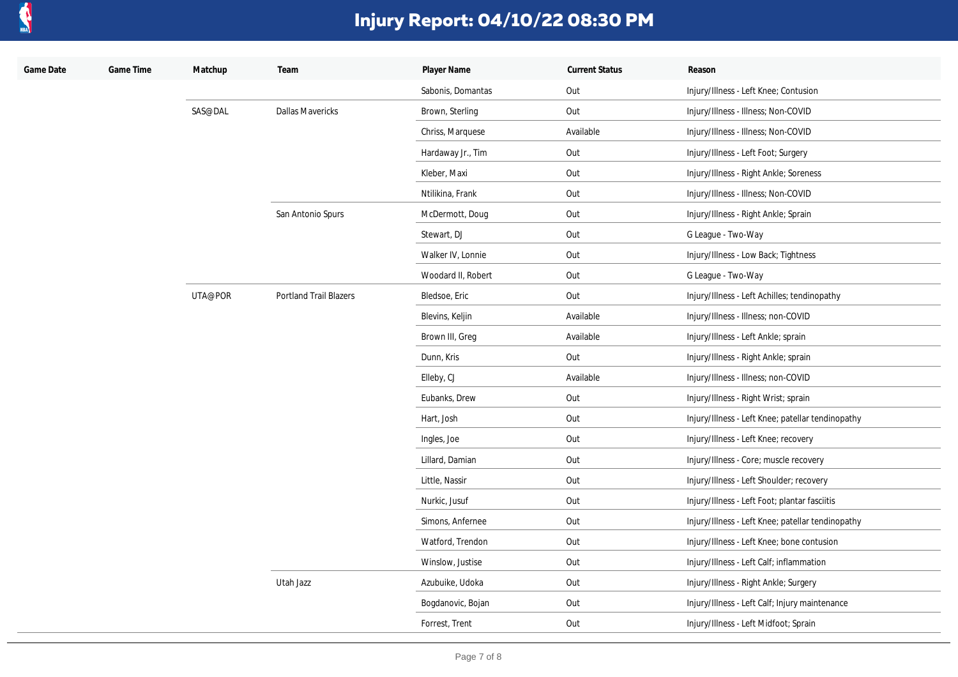

| Game Date | Game Time | Matchup | Team                          | Player Name        | <b>Current Status</b> | Reason                                            |
|-----------|-----------|---------|-------------------------------|--------------------|-----------------------|---------------------------------------------------|
|           |           |         |                               | Sabonis, Domantas  | Out                   | Injury/Illness - Left Knee; Contusion             |
|           |           | SAS@DAL | <b>Dallas Mavericks</b>       | Brown, Sterling    | Out                   | Injury/Illness - Illness; Non-COVID               |
|           |           |         |                               | Chriss, Marquese   | Available             | Injury/Illness - Illness; Non-COVID               |
|           |           |         |                               | Hardaway Jr., Tim  | Out                   | Injury/Illness - Left Foot; Surgery               |
|           |           |         |                               | Kleber, Maxi       | Out                   | Injury/Illness - Right Ankle; Soreness            |
|           |           |         |                               | Ntilikina, Frank   | Out                   | Injury/Illness - Illness; Non-COVID               |
|           |           |         | San Antonio Spurs             | McDermott, Doug    | Out                   | Injury/Illness - Right Ankle; Sprain              |
|           |           |         |                               | Stewart, DJ        | Out                   | G League - Two-Way                                |
|           |           |         |                               | Walker IV, Lonnie  | Out                   | Injury/Illness - Low Back; Tightness              |
|           |           |         |                               | Woodard II, Robert | Out                   | G League - Two-Way                                |
|           |           | UTA@POR | <b>Portland Trail Blazers</b> | Bledsoe, Eric      | Out                   | Injury/Illness - Left Achilles; tendinopathy      |
|           |           |         |                               | Blevins, Keljin    | Available             | Injury/Illness - Illness; non-COVID               |
|           |           |         |                               | Brown III, Greg    | Available             | Injury/Illness - Left Ankle; sprain               |
|           |           |         |                               | Dunn, Kris         | Out                   | Injury/Illness - Right Ankle; sprain              |
|           |           |         |                               | Elleby, CJ         | Available             | Injury/Illness - Illness; non-COVID               |
|           |           |         |                               | Eubanks, Drew      | Out                   | Injury/Illness - Right Wrist; sprain              |
|           |           |         |                               | Hart, Josh         | Out                   | Injury/Illness - Left Knee; patellar tendinopathy |
|           |           |         |                               | Ingles, Joe        | Out                   | Injury/Illness - Left Knee; recovery              |
|           |           |         |                               | Lillard, Damian    | Out                   | Injury/Illness - Core; muscle recovery            |
|           |           |         |                               | Little, Nassir     | Out                   | Injury/Illness - Left Shoulder; recovery          |
|           |           |         |                               | Nurkic, Jusuf      | Out                   | Injury/Illness - Left Foot; plantar fasciitis     |
|           |           |         |                               | Simons, Anfernee   | Out                   | Injury/Illness - Left Knee; patellar tendinopathy |
|           |           |         |                               | Watford, Trendon   | Out                   | Injury/Illness - Left Knee; bone contusion        |
|           |           |         |                               | Winslow, Justise   | Out                   | Injury/Illness - Left Calf; inflammation          |
|           |           |         | Utah Jazz                     | Azubuike, Udoka    | Out                   | Injury/Illness - Right Ankle; Surgery             |
|           |           |         |                               | Bogdanovic, Bojan  | Out                   | Injury/Illness - Left Calf; Injury maintenance    |
|           |           |         |                               | Forrest, Trent     | Out                   | Injury/Illness - Left Midfoot; Sprain             |
|           |           |         |                               |                    |                       |                                                   |